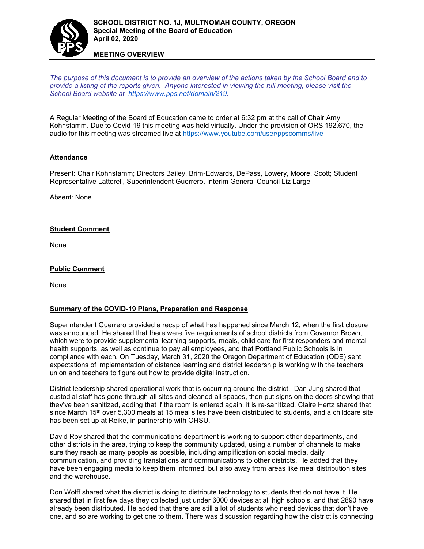

#### **MEETING OVERVIEW**

*The purpose of this document is to provide an overview of the actions taken by the School Board and to provide a listing of the reports given. Anyone interested in viewing the full meeting, please visit the School Board website at [https://www.pps.net/domain/219.](https://www.pps.net/domain/219)*

A Regular Meeting of the Board of Education came to order at 6:32 pm at the call of Chair Amy Kohnstamm. Due to Covid-19 this meeting was held virtually. Under the provision of ORS 192.670, the audio for this meeting was streamed live at <https://www.youtube.com/user/ppscomms/live>

#### **Attendance**

Present: Chair Kohnstamm; Directors Bailey, Brim-Edwards, DePass, Lowery, Moore, Scott; Student Representative Latterell, Superintendent Guerrero, Interim General Council Liz Large

Absent: None

#### **Student Comment**

None

## **Public Comment**

None

## **Summary of the COVID-19 Plans, Preparation and Response**

Superintendent Guerrero provided a recap of what has happened since March 12, when the first closure was announced. He shared that there were five requirements of school districts from Governor Brown, which were to provide supplemental learning supports, meals, child care for first responders and mental health supports, as well as continue to pay all employees, and that Portland Public Schools is in compliance with each. On Tuesday, March 31, 2020 the Oregon Department of Education (ODE) sent expectations of implementation of distance learning and district leadership is working with the teachers union and teachers to figure out how to provide digital instruction.

District leadership shared operational work that is occurring around the district. Dan Jung shared that custodial staff has gone through all sites and cleaned all spaces, then put signs on the doors showing that they've been sanitized, adding that if the room is entered again, it is re-sanitized. Claire Hertz shared that since March  $15<sup>th</sup>$  over 5,300 meals at 15 meal sites have been distributed to students, and a childcare site has been set up at Reike, in partnership with OHSU.

David Roy shared that the communications department is working to support other departments, and other districts in the area, trying to keep the community updated, using a number of channels to make sure they reach as many people as possible, including amplification on social media, daily communication, and providing translations and communications to other districts. He added that they have been engaging media to keep them informed, but also away from areas like meal distribution sites and the warehouse.

Don Wolff shared what the district is doing to distribute technology to students that do not have it. He shared that in first few days they collected just under 6000 devices at all high schools, and that 2890 have already been distributed. He added that there are still a lot of students who need devices that don't have one, and so are working to get one to them. There was discussion regarding how the district is connecting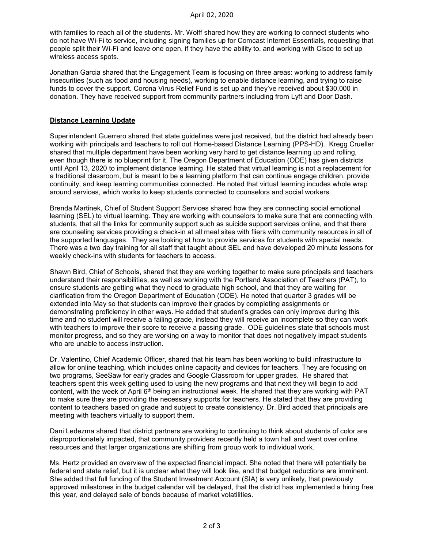with families to reach all of the students. Mr. Wolff shared how they are working to connect students who do not have Wi-Fi to service, including signing families up for Comcast Internet Essentials, requesting that people split their Wi-Fi and leave one open, if they have the ability to, and working with Cisco to set up wireless access spots.

Jonathan Garcia shared that the Engagement Team is focusing on three areas: working to address family insecurities (such as food and housing needs), working to enable distance learning, and trying to raise funds to cover the support. Corona Virus Relief Fund is set up and they've received about \$30,000 in donation. They have received support from community partners including from Lyft and Door Dash.

## **Distance Learning Update**

Superintendent Guerrero shared that state guidelines were just received, but the district had already been working with principals and teachers to roll out Home-based Distance Learning (PPS-HD). Kregg Crueller shared that multiple department have been working very hard to get distance learning up and rolling, even though there is no blueprint for it. The Oregon Department of Education (ODE) has given districts until April 13, 2020 to implement distance learning. He stated that virtual learning is not a replacement for a traditional classroom, but is meant to be a learning platform that can continue engage children, provide continuity, and keep learning communities connected. He noted that virtual learning incudes whole wrap around services, which works to keep students connected to counselors and social workers.

Brenda Martinek, Chief of Student Support Services shared how they are connecting social emotional learning (SEL) to virtual learning. They are working with counselors to make sure that are connecting with students, that all the links for community support such as suicide support services online, and that there are counseling services providing a check-in at all meal sites with fliers with community resources in all of the supported languages. They are looking at how to provide services for students with special needs. There was a two day training for all staff that taught about SEL and have developed 20 minute lessons for weekly check-ins with students for teachers to access.

Shawn Bird, Chief of Schools, shared that they are working together to make sure principals and teachers understand their responsibilities, as well as working with the Portland Association of Teachers (PAT), to ensure students are getting what they need to graduate high school, and that they are waiting for clarification from the Oregon Department of Education (ODE). He noted that quarter 3 grades will be extended into May so that students can improve their grades by completing assignments or demonstrating proficiency in other ways. He added that student's grades can only improve during this time and no student will receive a failing grade, instead they will receive an incomplete so they can work with teachers to improve their score to receive a passing grade. ODE guidelines state that schools must monitor progress, and so they are working on a way to monitor that does not negatively impact students who are unable to access instruction.

Dr. Valentino, Chief Academic Officer, shared that his team has been working to build infrastructure to allow for online teaching, which includes online capacity and devices for teachers. They are focusing on two programs, SeeSaw for early grades and Google Classroom for upper grades. He shared that teachers spent this week getting used to using the new programs and that next they will begin to add content, with the week of April 6<sup>th</sup> being an instructional week. He shared that they are working with PAT to make sure they are providing the necessary supports for teachers. He stated that they are providing content to teachers based on grade and subject to create consistency. Dr. Bird added that principals are meeting with teachers virtually to support them.

Dani Ledezma shared that district partners are working to continuing to think about students of color are disproportionately impacted, that community providers recently held a town hall and went over online resources and that larger organizations are shifting from group work to individual work.

Ms. Hertz provided an overview of the expected financial impact. She noted that there will potentially be federal and state relief, but it is unclear what they will look like, and that budget reductions are imminent. She added that full funding of the Student Investment Account (SIA) is very unlikely, that previously approved milestones in the budget calendar will be delayed, that the district has implemented a hiring free this year, and delayed sale of bonds because of market volatilities.